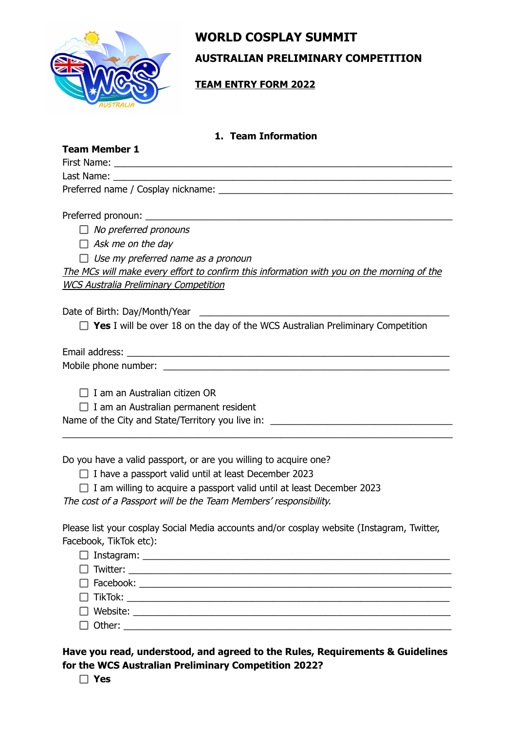

# **WORLD COSPLAY SUMMIT**

**AUSTRALIAN PRELIMINARY COMPETITION**

**TEAM ENTRY FORM 2022**

# **1. Team Information**

| <b>Team Member 1</b> |  |
|----------------------|--|
|----------------------|--|

| First Name:<br>irst Name:<br> |  |
|-------------------------------|--|
|                               |  |

Last Name:

Preferred name / Cosplay nickname: \_\_\_\_\_\_\_\_\_\_\_\_\_\_\_\_\_\_\_\_\_\_\_\_\_\_\_\_\_\_\_\_\_\_\_\_\_\_\_\_\_\_\_\_\_

Preferred pronoun: \_\_\_\_\_\_\_\_\_\_\_\_\_\_\_\_\_\_\_\_\_\_\_\_\_\_\_\_\_\_\_\_\_\_\_\_\_\_\_\_\_\_\_\_\_\_\_\_\_\_\_\_\_\_\_\_\_\_\_

 $\Box$  No preferred pronouns

 $\Box$  Ask me on the day

 $\Box$  Use my preferred name as a pronoun

The MCs will make every effort to confirm this information with you on the morning of the WCS Australia Preliminary Competition

Date of Birth: Day/Month/Year \_\_\_\_\_\_\_\_\_\_\_\_\_\_\_\_\_\_\_\_\_\_\_\_\_\_\_\_\_\_\_\_\_\_\_\_\_\_\_\_\_\_\_\_\_\_\_\_

□ Yes I will be over 18 on the day of the WCS Australian Preliminary Competition

\_\_\_\_\_\_\_\_\_\_\_\_\_\_\_\_\_\_\_\_\_\_\_\_\_\_\_\_\_\_\_\_\_\_\_\_\_\_\_\_\_\_\_\_\_\_\_\_\_\_\_\_\_\_\_\_\_\_\_\_\_\_\_\_\_\_\_\_\_\_\_\_\_\_\_

Email address: \_\_\_\_\_\_\_\_\_\_\_\_\_\_\_\_\_\_\_\_\_\_\_\_\_\_\_\_\_\_\_\_\_\_\_\_\_\_\_\_\_\_\_\_\_\_\_\_\_\_\_\_\_\_\_\_\_\_\_\_\_\_

Mobile phone number: \_\_\_\_\_\_\_\_\_\_\_\_\_\_\_\_\_\_\_\_\_\_\_\_\_\_\_\_\_\_\_\_\_\_\_\_\_\_\_\_\_\_\_\_\_\_\_\_\_\_\_\_\_\_\_

 $\Box$  I am an Australian citizen OR

 $\Box$  I am an Australian permanent resident

Name of the City and State/Territory you live in: \_\_\_\_\_\_\_\_\_\_\_\_\_\_\_\_\_\_\_\_\_\_\_\_\_\_\_\_\_\_

Do you have a valid passport, or are you willing to acquire one?

 $\Box$  I have a passport valid until at least December 2023

 $\Box$  I am willing to acquire a passport valid until at least December 2023

The cost of <sup>a</sup> Passport will be the Team Members' responsibility.

Please list your cosplay Social Media accounts and/or cosplay website (Instagram, Twitter, Facebook, TikTok etc):

| $\begin{tabular}{ c c c c } \hline \quad \quad & Other: \quad \quad & \quad \quad & \quad \quad & \quad \quad \\ \hline \end{tabular}$ |
|----------------------------------------------------------------------------------------------------------------------------------------|
|                                                                                                                                        |

**Have you read, understood, and agreed to the Rules, Requirements & Guidelines for the WCS Australian Preliminary Competition 2022?**

**Yes**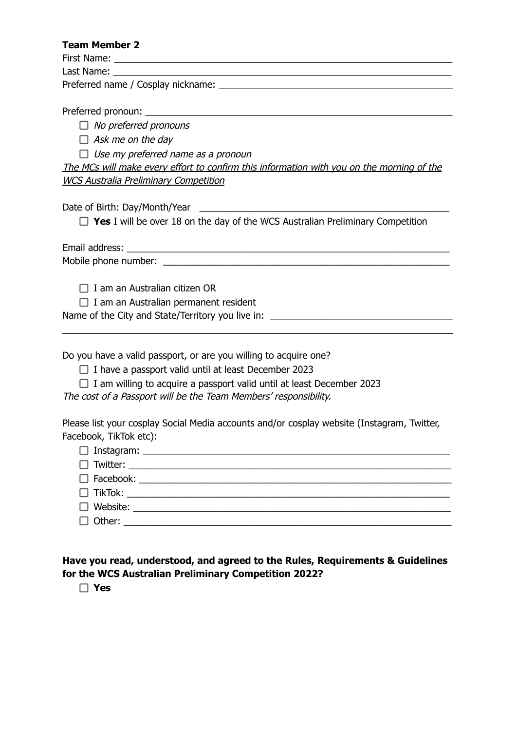## **Team Member 2**

First Name:

Last Name:

Preferred name / Cosplay nickname:

Preferred pronoun:

 $\Box$  No preferred pronouns

 $\Box$  Ask me on the day

 $\Box$  Use my preferred name as a pronoun

The MCs will make every effort to confirm this information with you on the morning of the WCS Australia Preliminary Competition

Date of Birth: Day/Month/Year \_\_\_\_\_\_\_\_\_\_\_\_\_\_\_\_\_\_\_\_\_\_\_\_\_\_\_\_\_\_\_\_\_\_\_\_\_\_\_\_\_\_\_\_\_\_\_\_

□ Yes I will be over 18 on the day of the WCS Australian Preliminary Competition

\_\_\_\_\_\_\_\_\_\_\_\_\_\_\_\_\_\_\_\_\_\_\_\_\_\_\_\_\_\_\_\_\_\_\_\_\_\_\_\_\_\_\_\_\_\_\_\_\_\_\_\_\_\_\_\_\_\_\_\_\_\_\_\_\_\_\_\_\_\_\_\_\_\_\_

Email address:

Mobile phone number:  $\blacksquare$ 

 $\Box$  I am an Australian citizen OR

 $\Box$  I am an Australian permanent resident

Name of the City and State/Territory you live in: \_\_\_\_\_\_\_\_\_\_\_\_\_\_\_\_\_\_\_\_\_\_\_\_\_\_\_\_\_\_

Do you have a valid passport, or are you willing to acquire one?

- $\Box$  I have a passport valid until at least December 2023
- $\Box$  I am willing to acquire a passport valid until at least December 2023

The cost of <sup>a</sup> Passport will be the Team Members' responsibility.

Please list your cosplay Social Media accounts and/or cosplay website (Instagram, Twitter, Facebook, TikTok etc):

**Have you read, understood, and agreed to the Rules, Requirements & Guidelines for the WCS Australian Preliminary Competition 2022?**

**Yes**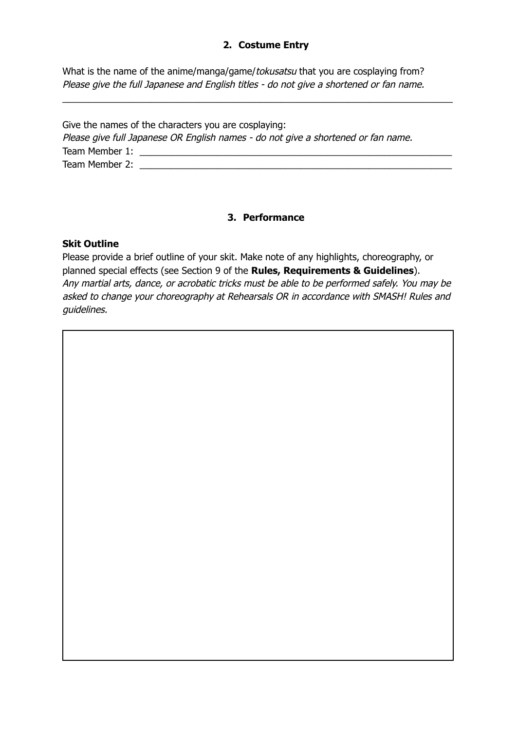# **2. Costume Entry**

What is the name of the anime/manga/game/tokusatsu that you are cosplaying from? Please give the full Japanese and English titles - do not give a shortened or fan name.

| Give the names of the characters you are cosplaying:                              |  |
|-----------------------------------------------------------------------------------|--|
| Please give full Japanese OR English names - do not give a shortened or fan name. |  |
| Team Member 1:                                                                    |  |
| Team Member 2:                                                                    |  |

\_\_\_\_\_\_\_\_\_\_\_\_\_\_\_\_\_\_\_\_\_\_\_\_\_\_\_\_\_\_\_\_\_\_\_\_\_\_\_\_\_\_\_\_\_\_\_\_\_\_\_\_\_\_\_\_\_\_\_\_\_\_\_\_\_\_\_\_\_\_\_\_\_\_\_

## **3. Performance**

## **Skit Outline**

Please provide a brief outline of your skit. Make note of any highlights, choreography, or planned special effects (see Section 9 of the **Rules, Requirements & Guidelines**). Any martial arts, dance, or acrobatic tricks must be able to be performed safely. You may be asked to change your choreography at Rehearsals OR in accordance with SMASH! Rules and guidelines.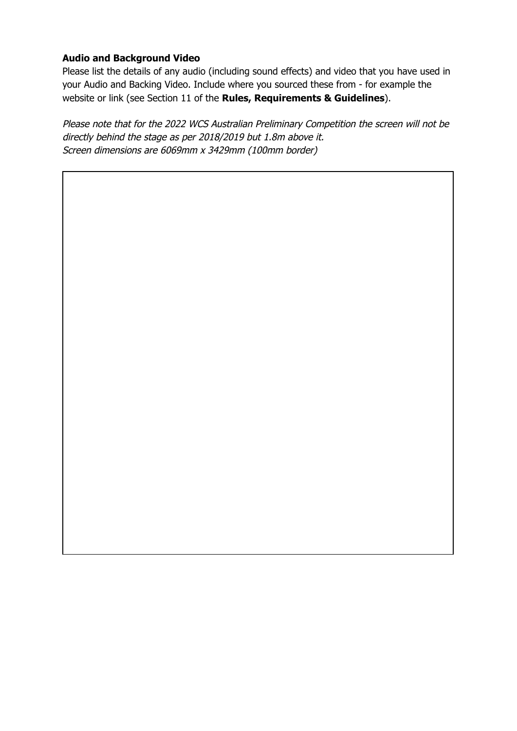# **Audio and Background Video**

Please list the details of any audio (including sound effects) and video that you have used in your Audio and Backing Video. Include where you sourced these from - for example the website or link (see Section 11 of the **Rules, Requirements & Guidelines**).

Please note that for the 2022 WCS Australian Preliminary Competition the screen will not be directly behind the stage as per 2018/2019 but 1.8m above it. Screen dimensions are 6069mm <sup>x</sup> 3429mm (100mm border)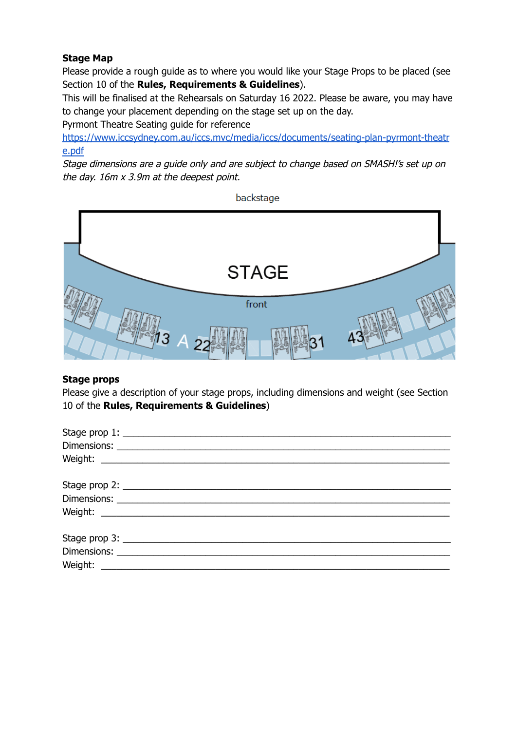# **Stage Map**

Please provide a rough guide as to where you would like your Stage Props to be placed (see Section 10 of the **Rules, Requirements & Guidelines**).

This will be finalised at the Rehearsals on Saturday 16 2022. Please be aware, you may have to change your placement depending on the stage set up on the day.

Pyrmont Theatre Seating guide for reference

[https://www.iccsydney.com.au/iccs.mvc/media/iccs/documents/seating-plan-pyrmont-theatr](https://www.iccsydney.com.au/iccs.mvc/media/iccs/documents/seating-plan-pyrmont-theatre.pdf) [e.pdf](https://www.iccsydney.com.au/iccs.mvc/media/iccs/documents/seating-plan-pyrmont-theatre.pdf)

Stage dimensions are <sup>a</sup> guide only and are subject to change based on SMASH!'s set up on the day. 16m <sup>x</sup> 3.9m at the deepest point.

backstage



## **Stage props**

Please give a description of your stage props, including dimensions and weight (see Section 10 of the **Rules, Requirements & Guidelines**)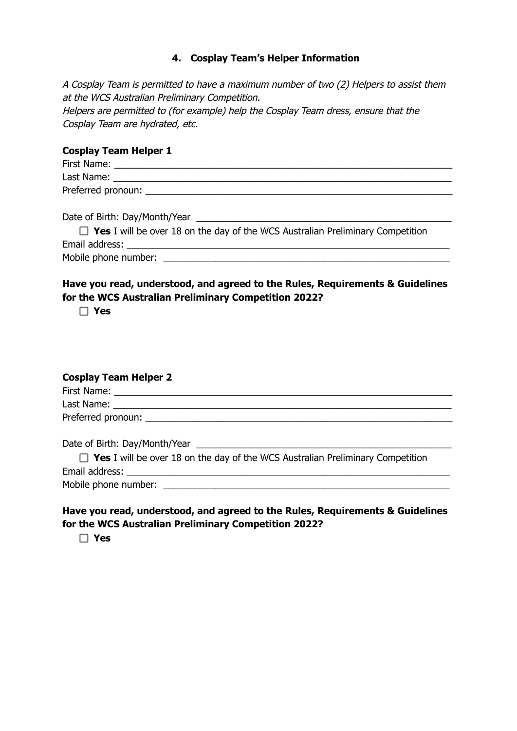## **4. Cosplay Team's Helper Information**

A Cosplay Team is permitted to have <sup>a</sup> maximum number of two (2) Helpers to assist them at the WCS Australian Preliminary Competition. Helpers are permitted to (for example) help the Cosplay Team dress, ensure that the Cosplay Team are hydrated, etc.

#### **Cosplay Team Helper 1**

| First Name:        |  |  |
|--------------------|--|--|
| Last Name:         |  |  |
| Preferred pronoun: |  |  |

Date of Birth: Day/Month/Year \_\_\_\_\_\_\_\_\_\_\_\_\_\_\_\_\_\_\_\_\_\_\_\_\_\_\_\_\_\_\_\_\_\_\_\_\_\_\_\_\_\_\_\_\_\_\_\_\_

| $\Box$ Yes I will be over 18 on the day of the WCS Australian Preliminary Competition |
|---------------------------------------------------------------------------------------|
| Email address:                                                                        |
| Mobile phone number:                                                                  |

# **Have you read, understood, and agreed to the Rules, Requirements & Guidelines for the WCS Australian Preliminary Competition 2022?**

**Yes**

| <b>Cosplay Team Helper 2</b>                                                          |
|---------------------------------------------------------------------------------------|
|                                                                                       |
|                                                                                       |
|                                                                                       |
|                                                                                       |
| $\Box$ Yes I will be over 18 on the day of the WCS Australian Preliminary Competition |
|                                                                                       |
|                                                                                       |

# **Have you read, understood, and agreed to the Rules, Requirements & Guidelines for the WCS Australian Preliminary Competition 2022?**

**Yes**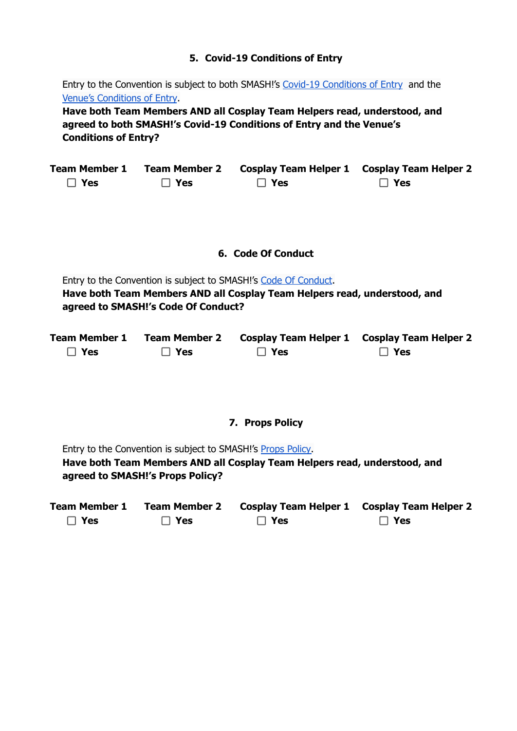## **5. Covid-19 Conditions of Entry**

Entry to the Convention is subject to both SMASH!'s Covid-19 [Conditions](https://smash.org.au/plan-your-day/policies/covid-19/) of Entry and th[e](https://www.iccsydney.com.au/venue-information/conditions-of-entry) Venue's [Conditions](https://www.iccsydney.com.au/venue-information/conditions-of-entry) of Entry.

**Have both Team Members AND all Cosplay Team Helpers read, understood, and agreed to both SMASH!'s Covid-19 Conditions of Entry and the Venue's Conditions of Entry?**

| <b>Team Member 1</b> | Team Member 2 | Cosplay Team Helper 1 Cosplay Team Helper 2 |            |
|----------------------|---------------|---------------------------------------------|------------|
| $\Box$ Yes           | $\Box$ Yes    | $\Box$ Yes                                  | $\Box$ Yes |

#### **6. Code Of Conduct**

Entry to the Convention is subject to SMASH!'s Code Of [Conduct](https://smash.org.au/plan-your-day/policies/code-of-conduct/). **Have both Team Members AND all Cosplay Team Helpers read, understood, and agreed to SMASH!'s Code Of Conduct?**

| <b>Team Member 1</b> | <b>Team Member 2</b> | Cosplay Team Helper 1 Cosplay Team Helper 2 |            |
|----------------------|----------------------|---------------------------------------------|------------|
| $\Box$ Yes           | $\Box$ Yes           | $\Box$ Yes                                  | $\Box$ Yes |

#### **7. Props Policy**

Entry to the Convention is subject to SMASH!'s Props [Policy.](https://smash.org.au/plan-your-day/policies/props-policy/) **Have both Team Members AND all Cosplay Team Helpers read, understood, and agreed to SMASH!'s Props Policy?**

| <b>Team Member 1</b> | <b>Team Member 2</b> | Cosplay Team Helper 1 Cosplay Team Helper 2 |            |
|----------------------|----------------------|---------------------------------------------|------------|
| $\Box$ Yes           | $\Box$ Yes           | $\Box$ Yes                                  | $\Box$ Yes |